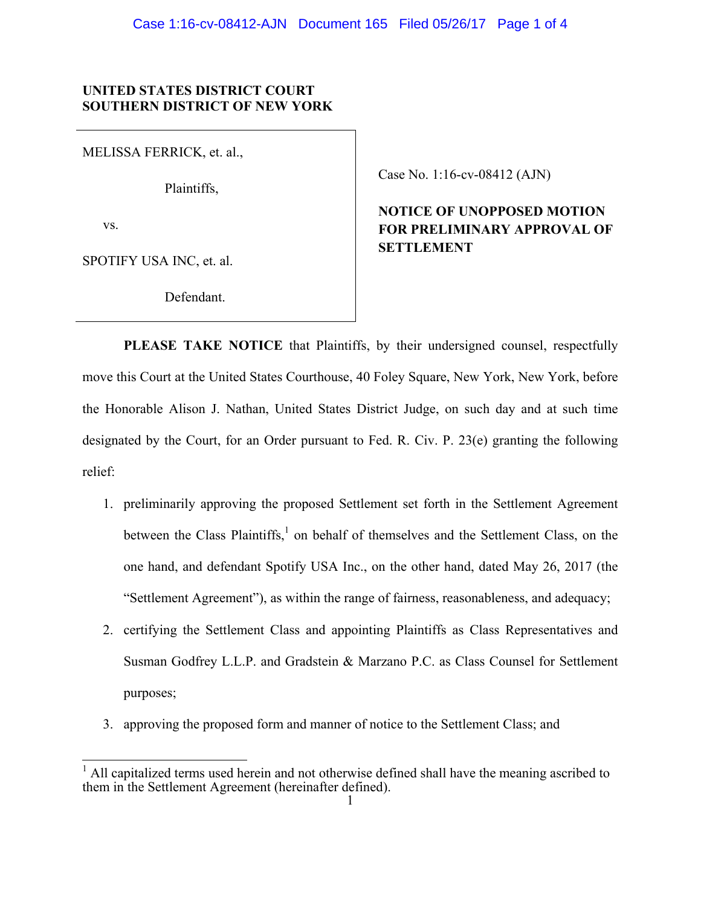## **UNITED STATES DISTRICT COURT SOUTHERN DISTRICT OF NEW YORK**

MELISSA FERRICK, et. al.,

Plaintiffs,

vs.

SPOTIFY USA INC, et. al.

Defendant.

Case No. 1:16-cv-08412 (AJN)

## **NOTICE OF UNOPPOSED MOTION FOR PRELIMINARY APPROVAL OF SETTLEMENT**

**PLEASE TAKE NOTICE** that Plaintiffs, by their undersigned counsel, respectfully move this Court at the United States Courthouse, 40 Foley Square, New York, New York, before the Honorable Alison J. Nathan, United States District Judge, on such day and at such time designated by the Court, for an Order pursuant to Fed. R. Civ. P. 23(e) granting the following relief:

- 1. preliminarily approving the proposed Settlement set forth in the Settlement Agreement between the Class Plaintiffs,<sup>1</sup> on behalf of themselves and the Settlement Class, on the one hand, and defendant Spotify USA Inc., on the other hand, dated May 26, 2017 (the "Settlement Agreement"), as within the range of fairness, reasonableness, and adequacy;
- 2. certifying the Settlement Class and appointing Plaintiffs as Class Representatives and Susman Godfrey L.L.P. and Gradstein & Marzano P.C. as Class Counsel for Settlement purposes;
- 3. approving the proposed form and manner of notice to the Settlement Class; and

 $\overline{1}$ <sup>1</sup> All capitalized terms used herein and not otherwise defined shall have the meaning ascribed to them in the Settlement Agreement (hereinafter defined).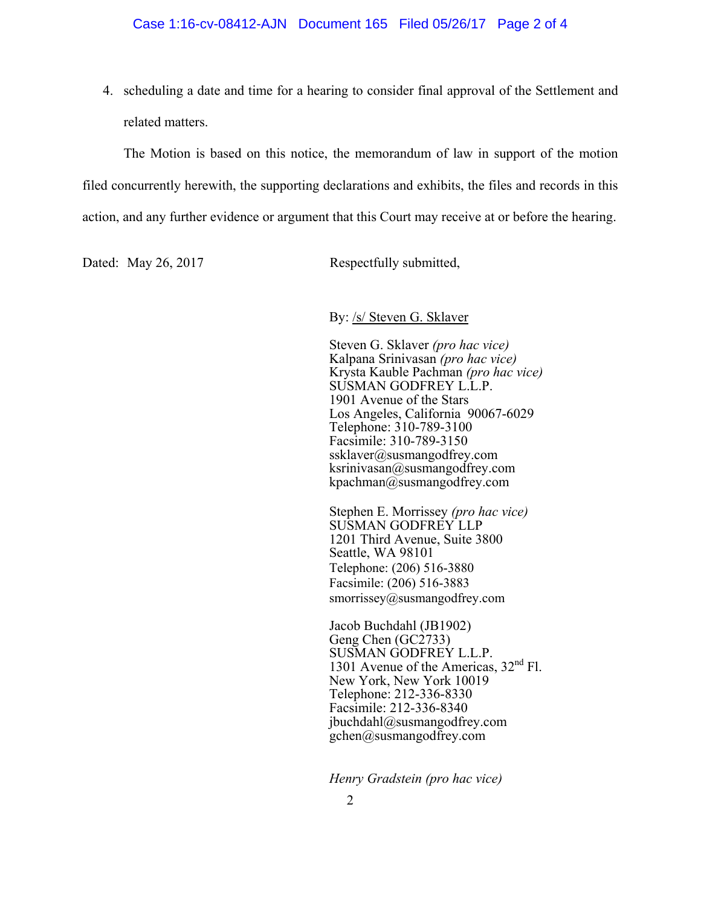4. scheduling a date and time for a hearing to consider final approval of the Settlement and related matters.

 The Motion is based on this notice, the memorandum of law in support of the motion filed concurrently herewith, the supporting declarations and exhibits, the files and records in this action, and any further evidence or argument that this Court may receive at or before the hearing.

Dated: May 26, 2017 Respectfully submitted,

By: /s/ Steven G. Sklaver

Steven G. Sklaver *(pro hac vice)* Kalpana Srinivasan *(pro hac vice)* Krysta Kauble Pachman *(pro hac vice)* SUSMAN GODFREY L.L.P. 1901 Avenue of the Stars Los Angeles, California 90067-6029 Telephone: 310-789-3100 Facsimile: 310-789-3150 ssklaver@susmangodfrey.com  $ksrinivasan@susmangodfrey.com$ kpachman@susmangodfrey.com

Stephen E. Morrissey *(pro hac vice)* SUSMAN GODFREY LLP 1201 Third Avenue, Suite 3800 Seattle, WA 98101 Telephone: (206) 516-3880 Facsimile: (206) 516-3883 smorrissey@susmangodfrey.com

Jacob Buchdahl (JB1902) Geng Chen (GC2733) SUSMAN GODFREY L.L.P. 1301 Avenue of the Americas,  $32<sup>nd</sup>$  Fl. New York, New York 10019 Telephone: 212-336-8330 Facsimile: 212-336-8340 jbuchdahl@susmangodfrey.com  $gchen@susmangodfrey.com$ 

*Henry Gradstein (pro hac vice)*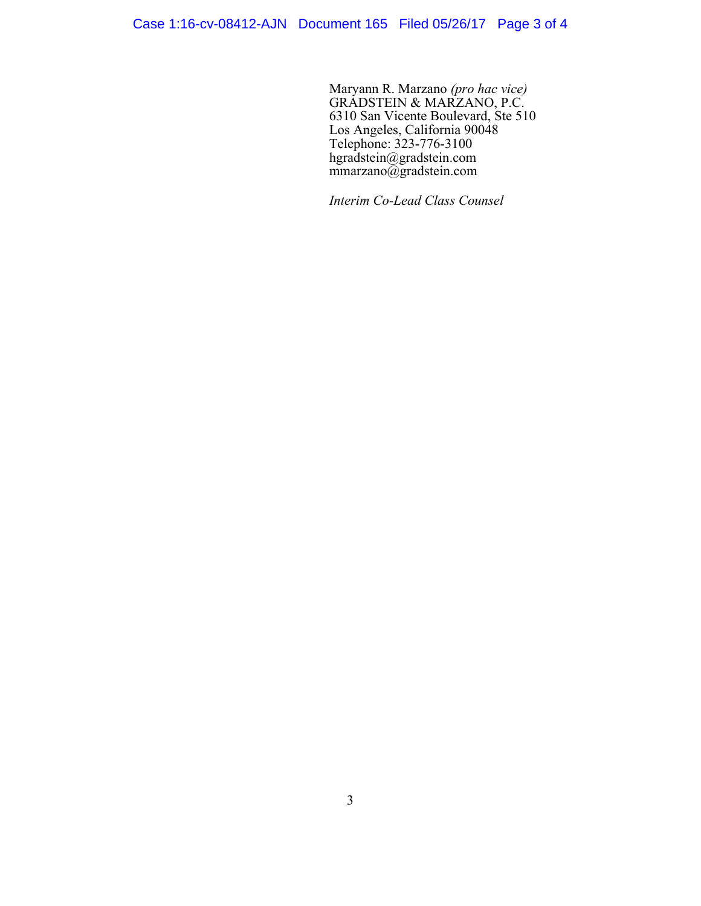Maryann R. Marzano *(pro hac vice)* GRADSTEIN & MARZANO, P.C. 6310 San Vicente Boulevard, Ste 510 Los Angeles, California 90048 Telephone: 323-776-3100 hgradstein@gradstein.com mmarzano@gradstein.com

*Interim Co-Lead Class Counsel*